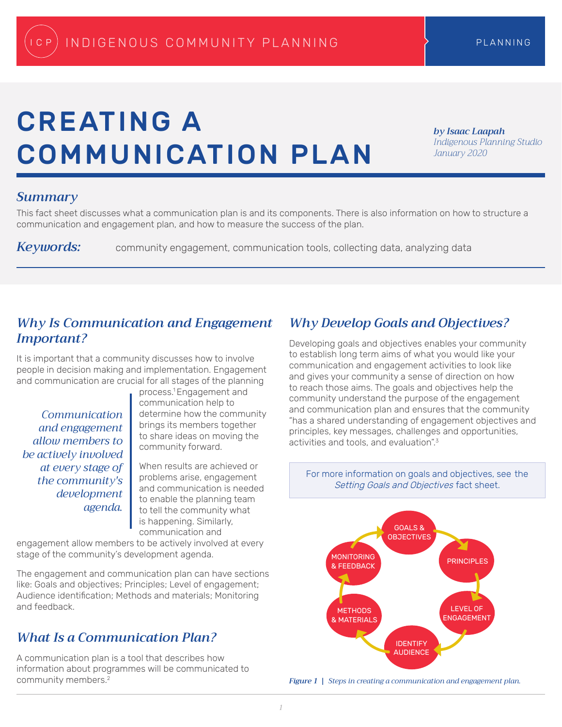# CREATING A COMMUNICATION PLAN

*by Isaac Laapah Indigenous Planning Studio January 2020*

### *Summary*

This fact sheet discusses what a communication plan is and its components. There is also information on how to structure a communication and engagement plan, and how to measure the success of the plan.

*Keywords:* community engagement, communication tools, collecting data, analyzing data

### *Why Is Communication and Engagement Important?*

It is important that a community discusses how to involve people in decision making and implementation. Engagement and communication are crucial for all stages of the planning

*Communication and engagement allow members to be actively involved at every stage of the community's development agenda.*

process.1 Engagement and communication help to determine how the community brings its members together to share ideas on moving the community forward.

When results are achieved or problems arise, engagement and communication is needed to enable the planning team to tell the community what is happening. Similarly, communication and

engagement allow members to be actively involved at every stage of the community's development agenda.

The engagement and communication plan can have sections like: Goals and objectives; Principles; Level of engagement; Audience identification; Methods and materials; Monitoring and feedback.

## *What Is a Communication Plan?*

A communication plan is a tool that describes how information about programmes will be communicated to community members.2

# *Why Develop Goals and Objectives?*

Developing goals and objectives enables your community to establish long term aims of what you would like your communication and engagement activities to look like and gives your community a sense of direction on how to reach those aims. The goals and objectives help the community understand the purpose of the engagement and communication plan and ensures that the community "has a shared understanding of engagement objectives and principles, key messages, challenges and opportunities, activities and tools, and evaluation" $3$ 

For more information on goals and objectives, see the Setting Goals and Objectives fact sheet.



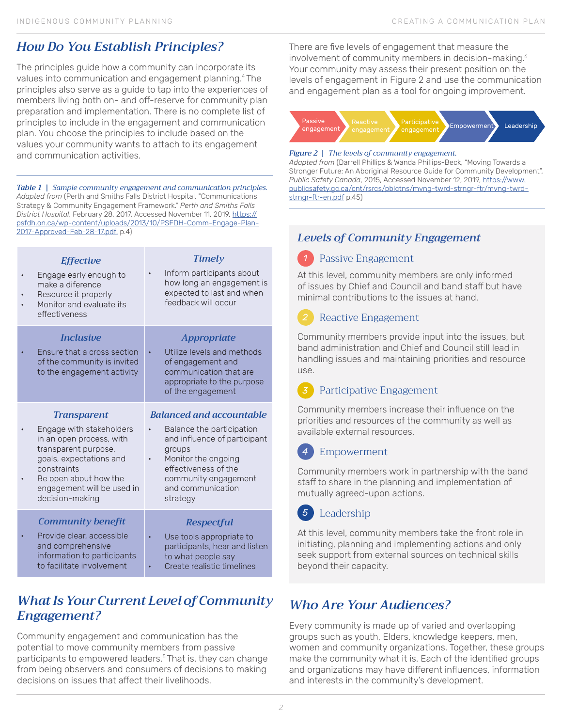# *How Do You Establish Principles?*

The principles guide how a community can incorporate its values into communication and engagement planning.4 The principles also serve as a guide to tap into the experiences of members living both on- and off-reserve for community plan preparation and implementation. There is no complete list of principles to include in the engagement and communication plan. You choose the principles to include based on the values your community wants to attach to its engagement and communication activities.

*Table 1 | Sample community engagement and communication principles. Adapted from* (Perth and Smiths Falls District Hospital. "Communications Strategy & Community Engagement Framework." *Perth and Smiths Falls District Hospital*, February 28, 2017. Accessed November 11, 2019, https:// psfdh.on.ca/wp-content/uploads/2013/10/PSFDH-Comm-Engage-Plan-2017-Approved-Feb-28-17.pdf. p.4)

| <b>Effective</b><br>Engage early enough to<br>make a diference<br>Resource it properly<br>Monitor and evaluate its<br>effectiveness                                                              | <b>Timely</b><br>Inform participants about<br>how long an engagement is<br>expected to last and when<br>feedback will occur                                                 |
|--------------------------------------------------------------------------------------------------------------------------------------------------------------------------------------------------|-----------------------------------------------------------------------------------------------------------------------------------------------------------------------------|
| <i><u><b>Inclusive</b></u></i><br>Ensure that a cross section<br>of the community is invited<br>to the engagement activity                                                                       | <b>Appropriate</b><br>Utilize levels and methods<br>of engagement and<br>communication that are<br>appropriate to the purpose<br>of the engagement                          |
|                                                                                                                                                                                                  |                                                                                                                                                                             |
| <b>Transparent</b>                                                                                                                                                                               | <b>Balanced and accountable</b>                                                                                                                                             |
| Engage with stakeholders<br>in an open process, with<br>transparent purpose,<br>goals, expectations and<br>constraints<br>Be open about how the<br>engagement will be used in<br>decision-making | Balance the participation<br>and influence of participant<br>groups<br>Monitor the ongoing<br>effectiveness of the<br>community engagement<br>and communication<br>strategy |
| <b>Community benefit</b>                                                                                                                                                                         | <b>Respectful</b>                                                                                                                                                           |

# *What Is Your Current Level of Community Engagement?*

Community engagement and communication has the potential to move community members from passive participants to empowered leaders.5 That is, they can change from being observers and consumers of decisions to making decisions on issues that affect their livelihoods.

There are five levels of engagement that measure the involvement of community members in decision-making.<sup>6</sup> Your community may assess their present position on the levels of engagement in Figure 2 and use the communication and engagement plan as a tool for ongoing improvement.



### *Figure 2 | The levels of community engagement.*

*Adapted from* (Darrell Phillips & Wanda Phillips-Beck, "Moving Towards a Stronger Future: An Aboriginal Resource Guide for Community Development", *Public Safety Canada*, 2015, Accessed November 12, 2019, https://www. publicsafety.gc.ca/cnt/rsrcs/pblctns/mvng-twrd-strngr-ftr/mvng-twrdstrngr-ftr-en.pdf p.45)

# *Levels of Community Engagement*

#### Passive Engagement *1*

At this level, community members are only informed of issues by Chief and Council and band staff but have minimal contributions to the issues at hand.

### Reactive Engagement

Community members provide input into the issues, but band administration and Chief and Council still lead in handling issues and maintaining priorities and resource use.

#### Participative Engagement *3*

Community members increase their influence on the priorities and resources of the community as well as available external resources.

#### Empowerment *4*

Community members work in partnership with the band staff to share in the planning and implementation of mutually agreed-upon actions.

#### Leadership *5*

At this level, community members take the front role in initiating, planning and implementing actions and only seek support from external sources on technical skills beyond their capacity.

# *Who Are Your Audiences?*

Every community is made up of varied and overlapping groups such as youth, Elders, knowledge keepers, men, women and community organizations. Together, these groups make the community what it is. Each of the identified groups and organizations may have different influences, information and interests in the community's development.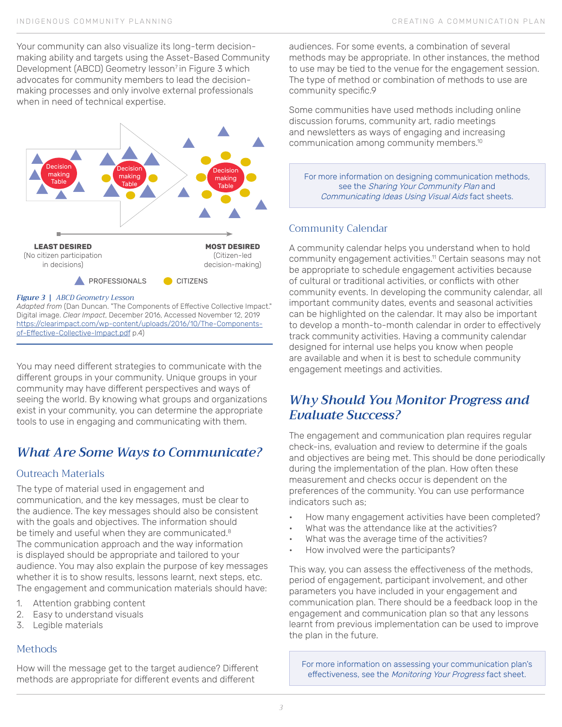Your community can also visualize its long-term decisionmaking ability and targets using the Asset-Based Community Development (ABCD) Geometry lesson<sup>7</sup> in Figure 3 which advocates for community members to lead the decisionmaking processes and only involve external professionals when in need of technical expertise.



### *Figure 3 | ABCD Geometry Lesson*

*Adapted from* (Dan Duncan. "The Components of Effective Collective Impact." Digital image. *Clear Impact*, December 2016, Accessed November 12, 2019 https://clearimpact.com/wp-content/uploads/2016/10/The-Componentsof-Effective-Collective-Impact.pdf p.4)

You may need different strategies to communicate with the different groups in your community. Unique groups in your community may have different perspectives and ways of seeing the world. By knowing what groups and organizations exist in your community, you can determine the appropriate tools to use in engaging and communicating with them.

## *What Are Some Ways to Communicate?*

### Outreach Materials

The type of material used in engagement and communication, and the key messages, must be clear to the audience. The key messages should also be consistent with the goals and objectives. The information should be timely and useful when they are communicated.<sup>8</sup> The communication approach and the way information is displayed should be appropriate and tailored to your audience. You may also explain the purpose of key messages whether it is to show results, lessons learnt, next steps, etc. The engagement and communication materials should have:

- 1. Attention grabbing content
- 2. Easy to understand visuals
- 3. Legible materials

### Methods

How will the message get to the target audience? Different methods are appropriate for different events and different

audiences. For some events, a combination of several methods may be appropriate. In other instances, the method to use may be tied to the venue for the engagement session. The type of method or combination of methods to use are community specific.9

Some communities have used methods including online discussion forums, community art, radio meetings and newsletters as ways of engaging and increasing communication among community members.10

For more information on designing communication methods, see the Sharing Your Community Plan and Communicating Ideas Using Visual Aids fact sheets.

### Community Calendar

A community calendar helps you understand when to hold community engagement activities.<sup>11</sup> Certain seasons may not be appropriate to schedule engagement activities because of cultural or traditional activities, or conflicts with other community events. In developing the community calendar, all important community dates, events and seasonal activities can be highlighted on the calendar. It may also be important to develop a month-to-month calendar in order to effectively track community activities. Having a community calendar designed for internal use helps you know when people are available and when it is best to schedule community engagement meetings and activities.

### *Why Should You Monitor Progress and Evaluate Success?*

The engagement and communication plan requires regular check-ins, evaluation and review to determine if the goals and objectives are being met. This should be done periodically during the implementation of the plan. How often these measurement and checks occur is dependent on the preferences of the community. You can use performance indicators such as;

- How many engagement activities have been completed?
- What was the attendance like at the activities?
- What was the average time of the activities?
- How involved were the participants?

This way, you can assess the effectiveness of the methods, period of engagement, participant involvement, and other parameters you have included in your engagement and communication plan. There should be a feedback loop in the engagement and communication plan so that any lessons learnt from previous implementation can be used to improve the plan in the future.

For more information on assessing your communication plan's effectiveness, see the Monitoring Your Progress fact sheet.